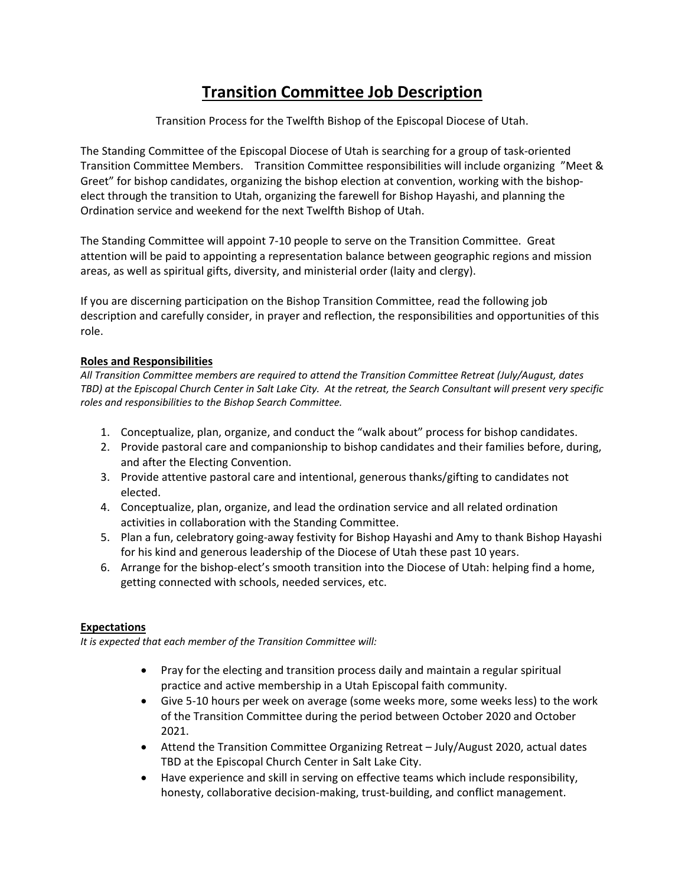## **Transition Committee Job Description**

Transition Process for the Twelfth Bishop of the Episcopal Diocese of Utah.

The Standing Committee of the Episcopal Diocese of Utah is searching for a group of task-oriented Transition Committee Members. Transition Committee responsibilities will include organizing "Meet & Greet" for bishop candidates, organizing the bishop election at convention, working with the bishopelect through the transition to Utah, organizing the farewell for Bishop Hayashi, and planning the Ordination service and weekend for the next Twelfth Bishop of Utah.

The Standing Committee will appoint 7-10 people to serve on the Transition Committee. Great attention will be paid to appointing a representation balance between geographic regions and mission areas, as well as spiritual gifts, diversity, and ministerial order (laity and clergy).

If you are discerning participation on the Bishop Transition Committee, read the following job description and carefully consider, in prayer and reflection, the responsibilities and opportunities of this role.

## **Roles and Responsibilities**

*All Transition Committee members are required to attend the Transition Committee Retreat (July/August, dates TBD) at the Episcopal Church Center in Salt Lake City. At the retreat, the Search Consultant will present very specific roles and responsibilities to the Bishop Search Committee.*

- 1. Conceptualize, plan, organize, and conduct the "walk about" process for bishop candidates.
- 2. Provide pastoral care and companionship to bishop candidates and their families before, during, and after the Electing Convention.
- 3. Provide attentive pastoral care and intentional, generous thanks/gifting to candidates not elected.
- 4. Conceptualize, plan, organize, and lead the ordination service and all related ordination activities in collaboration with the Standing Committee.
- 5. Plan a fun, celebratory going-away festivity for Bishop Hayashi and Amy to thank Bishop Hayashi for his kind and generous leadership of the Diocese of Utah these past 10 years.
- 6. Arrange for the bishop-elect's smooth transition into the Diocese of Utah: helping find a home, getting connected with schools, needed services, etc.

## **Expectations**

*It is expected that each member of the Transition Committee will:* 

- Pray for the electing and transition process daily and maintain a regular spiritual practice and active membership in a Utah Episcopal faith community.
- Give 5-10 hours per week on average (some weeks more, some weeks less) to the work of the Transition Committee during the period between October 2020 and October 2021.
- Attend the Transition Committee Organizing Retreat July/August 2020, actual dates TBD at the Episcopal Church Center in Salt Lake City.
- Have experience and skill in serving on effective teams which include responsibility, honesty, collaborative decision-making, trust-building, and conflict management.